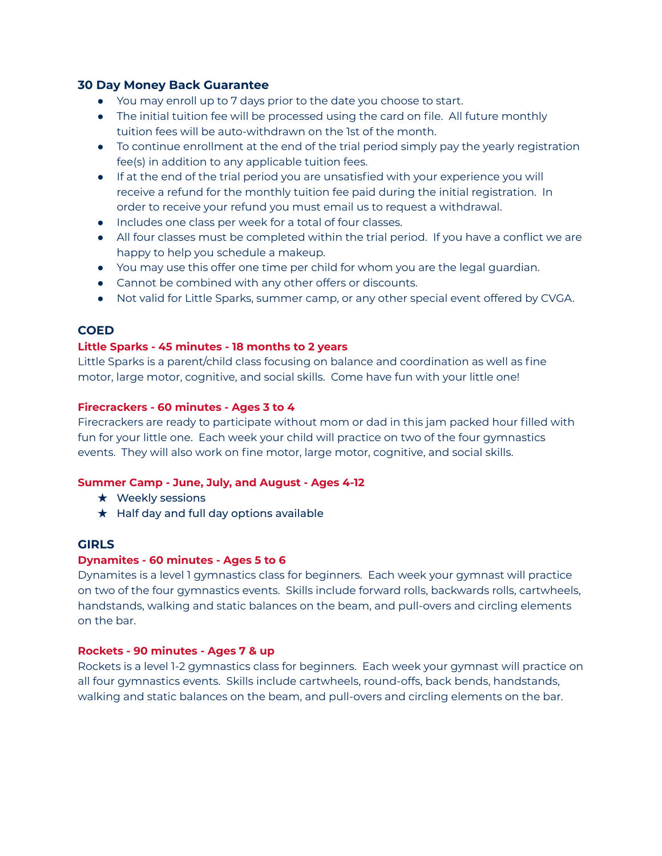# **30 Day Money Back Guarantee**

- You may enroll up to 7 days prior to the date you choose to start.
- **●** The initial tuition fee will be processed using the card on file. All future monthly tuition fees will be auto-withdrawn on the 1st of the month.
- **●** To continue enrollment at the end of the trial period simply pay the yearly registration fee(s) in addition to any applicable tuition fees.
- If at the end of the trial period you are unsatisfied with your experience you will receive a refund for the monthly tuition fee paid during the initial registration. In order to receive your refund you must email us to request a withdrawal.
- Includes one class per week for a total of four classes.
- All four classes must be completed within the trial period. If you have a conflict we are happy to help you schedule a makeup.
- You may use this offer one time per child for whom you are the legal guardian.
- Cannot be combined with any other offers or discounts.
- Not valid for Little Sparks, summer camp, or any other special event offered by CVGA.

# **COED**

## **Little Sparks - 45 minutes - 18 months to 2 years**

Little Sparks is a parent/child class focusing on balance and coordination as well as fine motor, large motor, cognitive, and social skills. Come have fun with your little one!

### **Firecrackers - 60 minutes - Ages 3 to 4**

Firecrackers are ready to participate without mom or dad in this jam packed hour filled with fun for your little one. Each week your child will practice on two of the four gymnastics events. They will also work on fine motor, large motor, cognitive, and social skills.

## **Summer Camp - June, July, and August - Ages 4-12**

- $\star$  Weekly sessions
- $\star$  Half day and full day options available

## **GIRLS**

## **Dynamites - 60 minutes - Ages 5 to 6**

Dynamites is a level 1 gymnastics class for beginners. Each week your gymnast will practice on two of the four gymnastics events. Skills include forward rolls, backwards rolls, cartwheels, handstands, walking and static balances on the beam, and pull-overs and circling elements on the bar.

## **Rockets - 90 minutes - Ages 7 & up**

Rockets is a level 1-2 gymnastics class for beginners. Each week your gymnast will practice on all four gymnastics events. Skills include cartwheels, round-offs, back bends, handstands, walking and static balances on the beam, and pull-overs and circling elements on the bar.